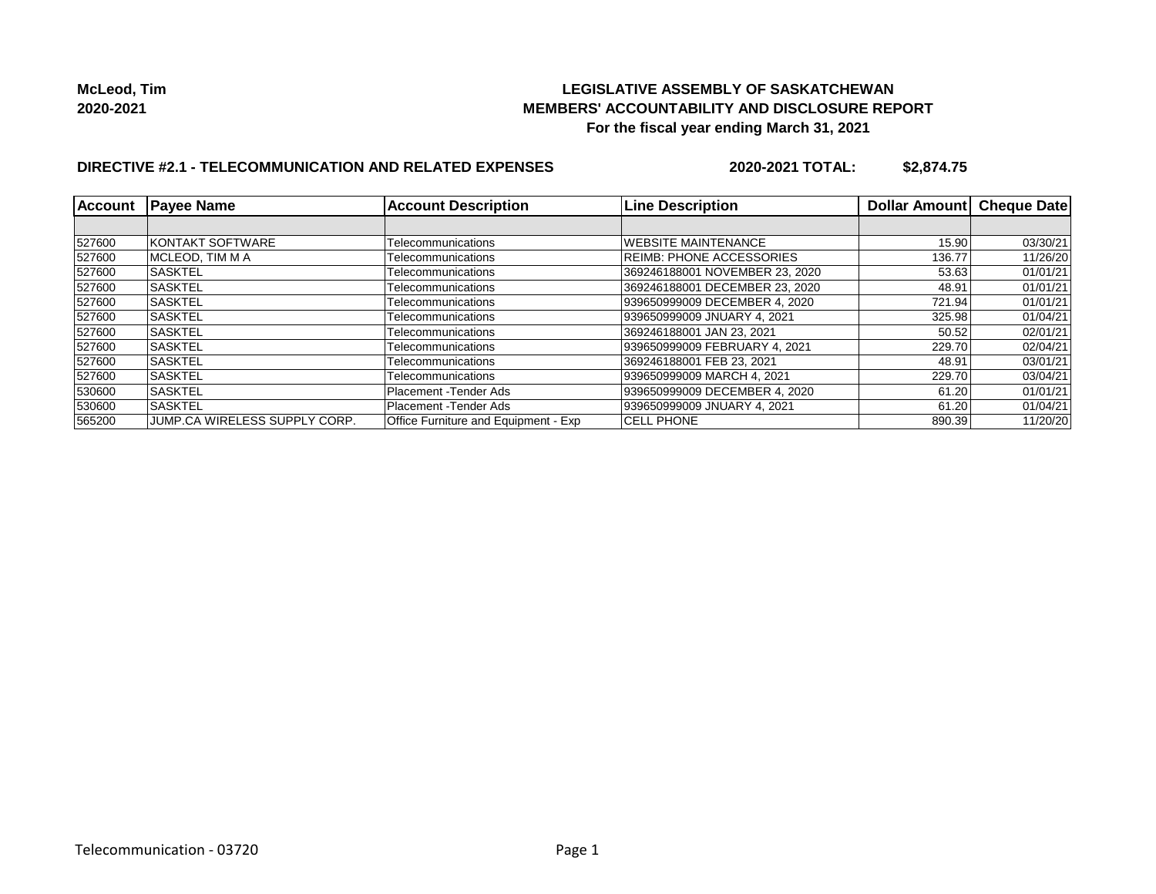### **LEGISLATIVE ASSEMBLY OF SASKATCHEWAN MEMBERS' ACCOUNTABILITY AND DISCLOSURE REPORT For the fiscal year ending March 31, 2021**

# **DIRECTIVE #2.1 - TELECOMMUNICATION AND RELATED EXPENSES**

**2020-2021 TOTAL: \$2,874.75**

| Account | <b>Payee Name</b>             | <b>Account Description</b>           | <b>Line Description</b>         | Dollar Amount | Cheque Date |
|---------|-------------------------------|--------------------------------------|---------------------------------|---------------|-------------|
|         |                               |                                      |                                 |               |             |
| 527600  | <b>KONTAKT SOFTWARE</b>       | Telecommunications                   | <b>WEBSITE MAINTENANCE</b>      | 15.90         | 03/30/21    |
| 527600  | IMCLEOD. TIM M A              | Telecommunications                   | <b>REIMB: PHONE ACCESSORIES</b> | 136.77        | 11/26/20    |
| 527600  | <b>SASKTEL</b>                | Telecommunications                   | 369246188001 NOVEMBER 23, 2020  | 53.63         | 01/01/21    |
| 527600  | <b>SASKTEL</b>                | Telecommunications                   | 369246188001 DECEMBER 23, 2020  | 48.91         | 01/01/21    |
| 527600  | <b>SASKTEL</b>                | Telecommunications                   | 939650999009 DECEMBER 4, 2020   | 721.94        | 01/01/21    |
| 527600  | <b>SASKTEL</b>                | Telecommunications                   | 939650999009 JNUARY 4, 2021     | 325.98        | 01/04/21    |
| 527600  | <b>SASKTEL</b>                | Telecommunications                   | 369246188001 JAN 23. 2021       | 50.52         | 02/01/21    |
| 527600  | <b>ISASKTEL</b>               | Telecommunications                   | 939650999009 FEBRUARY 4, 2021   | 229.70        | 02/04/21    |
| 527600  | <b>SASKTEL</b>                | Telecommunications                   | 369246188001 FEB 23, 2021       | 48.91         | 03/01/21    |
| 527600  | <b>SASKTEL</b>                | Telecommunications                   | 939650999009 MARCH 4, 2021      | 229.70        | 03/04/21    |
| 530600  | <b>SASKTEL</b>                | Placement - Tender Ads               | 939650999009 DECEMBER 4, 2020   | 61.20         | 01/01/21    |
| 530600  | <b>SASKTEL</b>                | Placement - Tender Ads               | 939650999009 JNUARY 4, 2021     | 61.20         | 01/04/21    |
| 565200  | JUMP.CA WIRELESS SUPPLY CORP. | Office Furniture and Equipment - Exp | <b>CELL PHONE</b>               | 890.39        | 11/20/20    |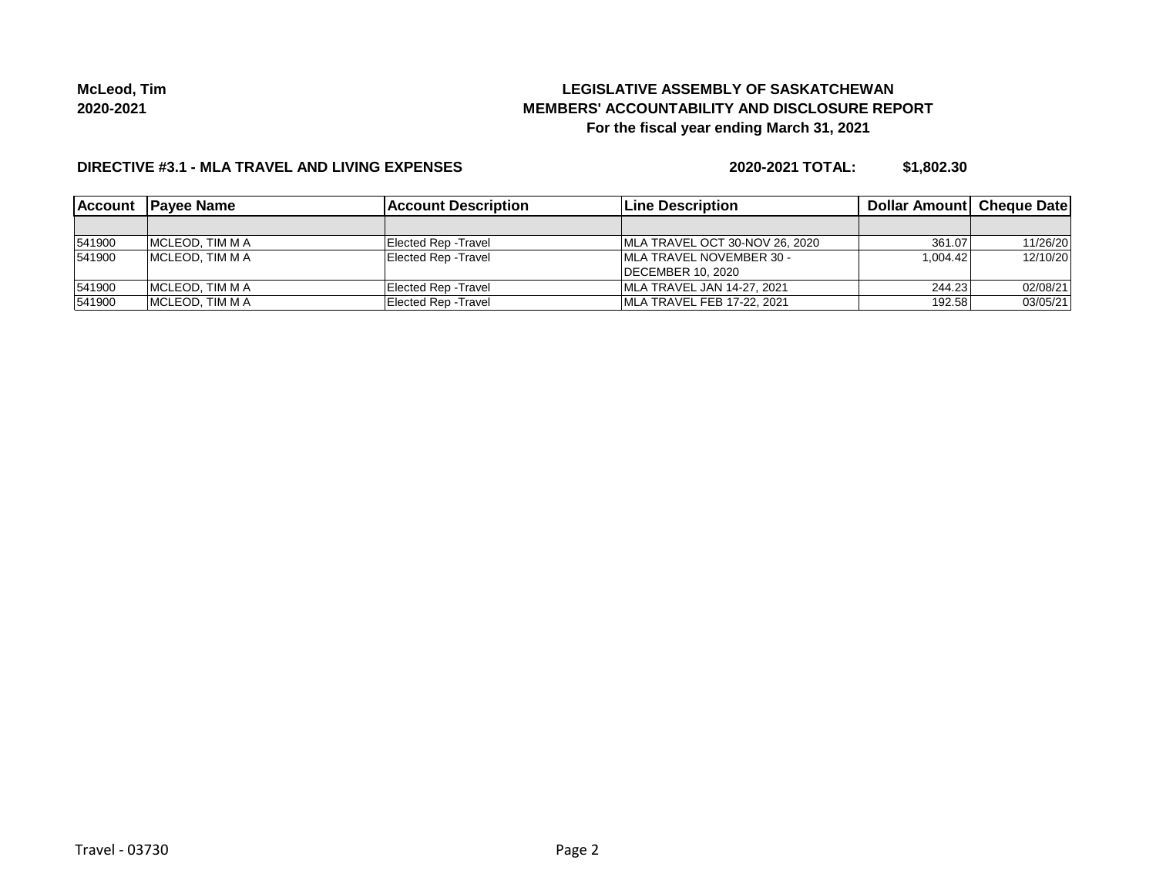# **LEGISLATIVE ASSEMBLY OF SASKATCHEWAN MEMBERS' ACCOUNTABILITY AND DISCLOSURE REPORT For the fiscal year ending March 31, 2021**

#### **DIRECTIVE #3.1 - MLA TRAVEL AND LIVING EXPENSES**

**2020-2021 TOTAL: \$1,802.30**

| <b>Account</b> | <b>IPavee Name</b>      | <b>IAccount Description</b> | <b>ILine Description</b>       | <b>Dollar Amountl Cheque Date</b> |          |
|----------------|-------------------------|-----------------------------|--------------------------------|-----------------------------------|----------|
|                |                         |                             |                                |                                   |          |
| 541900         | IMCLEOD. TIM M A        | Elected Rep - Travel        | MLA TRAVEL OCT 30-NOV 26, 2020 | 361.07                            | 11/26/20 |
| 541900         | MCLEOD, TIM M A         | Elected Rep - Travel        | IMLA TRAVEL NOVEMBER 30 -      | 1.004.42                          | 12/10/20 |
|                |                         |                             | <b>IDECEMBER 10, 2020</b>      |                                   |          |
| 541900         | <b>IMCLEOD. TIM M A</b> | Elected Rep - Travel        | MLA TRAVEL JAN 14-27, 2021     | 244.23                            | 02/08/21 |
| 541900         | <b>IMCLEOD. TIM M A</b> | Elected Rep - Travel        | MLA TRAVEL FEB 17-22, 2021     | 192.58                            | 03/05/21 |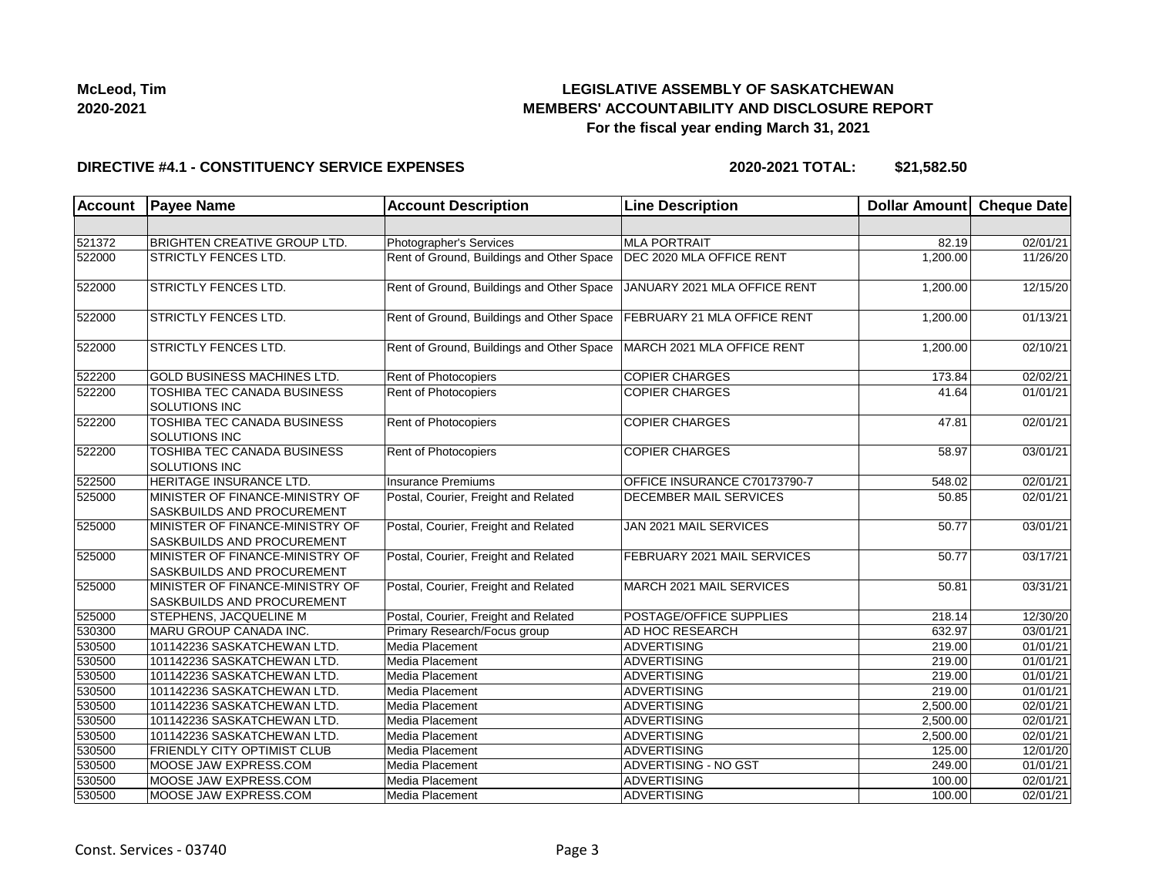

### **LEGISLATIVE ASSEMBLY OF SASKATCHEWAN MEMBERS' ACCOUNTABILITY AND DISCLOSURE REPORT For the fiscal year ending March 31, 2021**

#### **DIRECTIVE #4.1 - CONSTITUENCY SERVICE EXPENSES**

**2020-2021 TOTAL: \$21,582.50**

| Account | <b>Payee Name</b>                                                    | <b>Account Description</b>                | <b>Line Description</b>      | Dollar Amount Cheque Date |                       |
|---------|----------------------------------------------------------------------|-------------------------------------------|------------------------------|---------------------------|-----------------------|
|         |                                                                      |                                           |                              |                           |                       |
| 521372  | <b>BRIGHTEN CREATIVE GROUP LTD.</b>                                  | Photographer's Services                   | <b>MLA PORTRAIT</b>          | 82.19                     | 02/01/21              |
| 522000  | <b>STRICTLY FENCES LTD.</b>                                          | Rent of Ground, Buildings and Other Space | DEC 2020 MLA OFFICE RENT     | 1.200.00                  | 11/26/20              |
| 522000  | <b>STRICTLY FENCES LTD.</b>                                          | Rent of Ground, Buildings and Other Space | JANUARY 2021 MLA OFFICE RENT | 1,200.00                  | 12/15/20              |
| 522000  | <b>STRICTLY FENCES LTD.</b>                                          | Rent of Ground, Buildings and Other Space | FEBRUARY 21 MLA OFFICE RENT  | 1,200.00                  | 01/13/21              |
| 522000  | <b>STRICTLY FENCES LTD.</b>                                          | Rent of Ground, Buildings and Other Space | MARCH 2021 MLA OFFICE RENT   | 1,200.00                  | 02/10/21              |
| 522200  | <b>GOLD BUSINESS MACHINES LTD.</b>                                   | Rent of Photocopiers                      | <b>COPIER CHARGES</b>        | 173.84                    | 02/02/21              |
| 522200  | TOSHIBA TEC CANADA BUSINESS<br><b>SOLUTIONS INC</b>                  | Rent of Photocopiers                      | <b>COPIER CHARGES</b>        | 41.64                     | 01/01/21              |
| 522200  | TOSHIBA TEC CANADA BUSINESS<br><b>SOLUTIONS INC</b>                  | Rent of Photocopiers                      | <b>COPIER CHARGES</b>        | 47.81                     | 02/01/21              |
| 522200  | <b>TOSHIBA TEC CANADA BUSINESS</b><br>SOLUTIONS INC                  | Rent of Photocopiers                      | <b>COPIER CHARGES</b>        | 58.97                     | 03/01/21              |
| 522500  | HERITAGE INSURANCE LTD.                                              | Insurance Premiums                        | OFFICE INSURANCE C70173790-7 | 548.02                    | 02/01/21              |
| 525000  | MINISTER OF FINANCE-MINISTRY OF<br><b>SASKBUILDS AND PROCUREMENT</b> | Postal, Courier, Freight and Related      | DECEMBER MAIL SERVICES       | 50.85                     | 02/01/21              |
| 525000  | MINISTER OF FINANCE-MINISTRY OF<br><b>SASKBUILDS AND PROCUREMENT</b> | Postal, Courier, Freight and Related      | JAN 2021 MAIL SERVICES       | 50.77                     | 03/01/21              |
| 525000  | MINISTER OF FINANCE-MINISTRY OF<br><b>SASKBUILDS AND PROCUREMENT</b> | Postal, Courier, Freight and Related      | FEBRUARY 2021 MAIL SERVICES  | 50.77                     | 03/17/21              |
| 525000  | MINISTER OF FINANCE-MINISTRY OF<br><b>SASKBUILDS AND PROCUREMENT</b> | Postal, Courier, Freight and Related      | MARCH 2021 MAIL SERVICES     | 50.81                     | 03/31/21              |
| 525000  | <b>STEPHENS, JACQUELINE M</b>                                        | Postal, Courier, Freight and Related      | POSTAGE/OFFICE SUPPLIES      | 218.14                    | 12/30/20              |
| 530300  | MARU GROUP CANADA INC.                                               | Primary Research/Focus group              | AD HOC RESEARCH              | 632.97                    | 03/01/21              |
| 530500  | 101142236 SASKATCHEWAN LTD.                                          | Media Placement                           | <b>ADVERTISING</b>           | 219.00                    | 01/01/21              |
| 530500  | 101142236 SASKATCHEWAN LTD.                                          | Media Placement                           | <b>ADVERTISING</b>           | 219.00                    | 01/01/21              |
| 530500  | 101142236 SASKATCHEWAN LTD.                                          | Media Placement                           | <b>ADVERTISING</b>           | 219.00                    | 01/01/21              |
| 530500  | 101142236 SASKATCHEWAN LTD.                                          | Media Placement                           | <b>ADVERTISING</b>           | 219.00                    | 01/01/21              |
| 530500  | 101142236 SASKATCHEWAN LTD.                                          | Media Placement                           | ADVERTISING                  | 2,500.00                  | 02/01/21              |
| 530500  | 101142236 SASKATCHEWAN LTD.                                          | Media Placement                           | ADVERTISING                  | 2,500.00                  | 02/01/21              |
| 530500  | 101142236 SASKATCHEWAN LTD.                                          | Media Placement                           | <b>ADVERTISING</b>           | 2,500.00                  | 02/01/21              |
| 530500  | <b>FRIENDLY CITY OPTIMIST CLUB</b>                                   | Media Placement                           | ADVERTISING                  | 125.00                    | 12/01/20              |
| 530500  | MOOSE JAW EXPRESS.COM                                                | Media Placement                           | <b>ADVERTISING - NO GST</b>  | 249.00                    | 01/01/21              |
| 530500  | MOOSE JAW EXPRESS.COM                                                | Media Placement                           | <b>ADVERTISING</b>           | 100.00                    | $\overline{02/01/21}$ |
| 530500  | MOOSE JAW EXPRESS.COM                                                | Media Placement                           | <b>ADVERTISING</b>           | 100.00                    | 02/01/21              |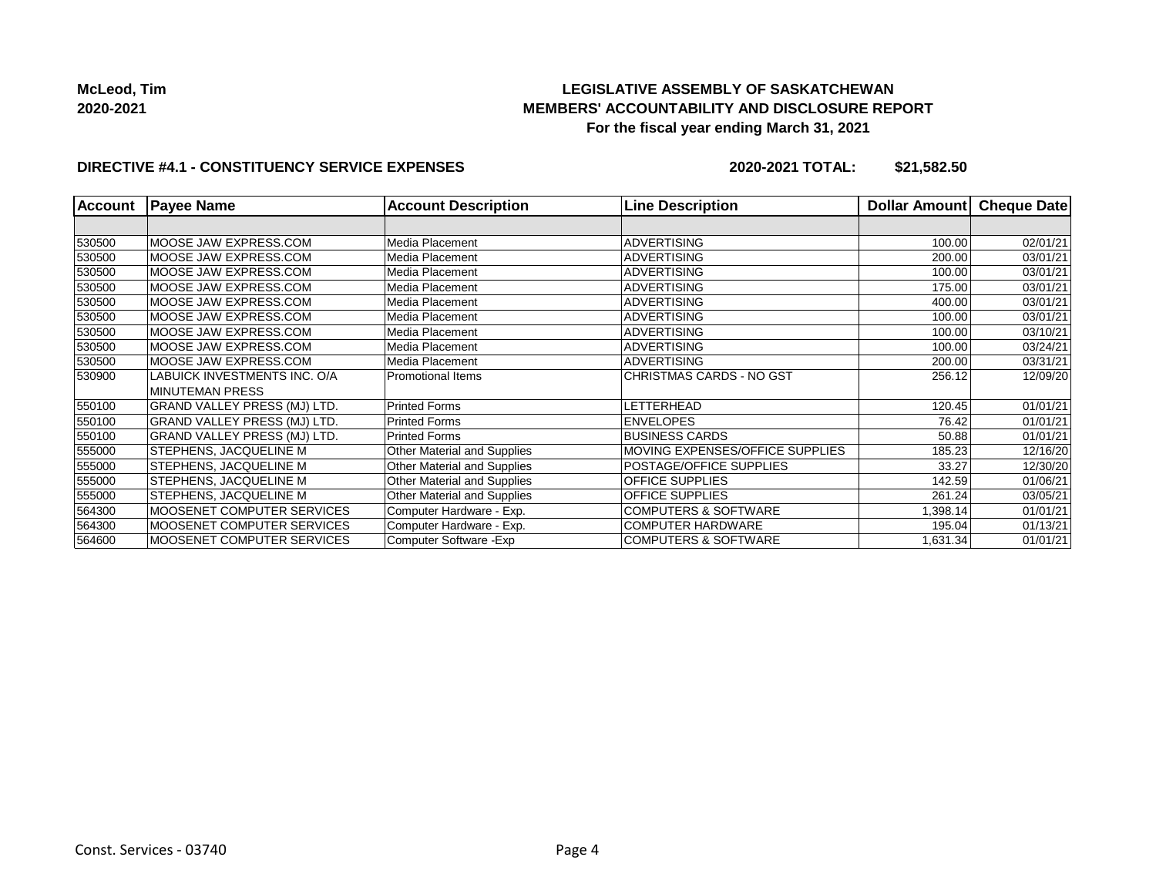# **LEGISLATIVE ASSEMBLY OF SASKATCHEWAN MEMBERS' ACCOUNTABILITY AND DISCLOSURE REPORT For the fiscal year ending March 31, 2021**

#### **DIRECTIVE #4.1 - CONSTITUENCY SERVICE EXPENSES**

**2020-2021 TOTAL: \$21,582.50**

| <b>Account</b> | <b>Payee Name</b>                   | <b>Account Description</b>  | <b>Line Description</b>         | <b>Dollar Amountl</b> | <b>Cheque Date</b> |
|----------------|-------------------------------------|-----------------------------|---------------------------------|-----------------------|--------------------|
|                |                                     |                             |                                 |                       |                    |
| 530500         | MOOSE JAW EXPRESS.COM               | Media Placement             | <b>ADVERTISING</b>              | 100.00                | 02/01/21           |
| 530500         | MOOSE JAW EXPRESS.COM               | Media Placement             | ADVERTISING                     | 200.00                | 03/01/21           |
| 530500         | MOOSE JAW EXPRESS.COM               | Media Placement             | <b>ADVERTISING</b>              | 100.00                | 03/01/21           |
| 530500         | MOOSE JAW EXPRESS.COM               | Media Placement             | <b>ADVERTISING</b>              | 175.00                | 03/01/21           |
| 530500         | MOOSE JAW EXPRESS.COM               | Media Placement             | <b>ADVERTISING</b>              | 400.00                | 03/01/21           |
| 530500         | MOOSE JAW EXPRESS.COM               | Media Placement             | <b>ADVERTISING</b>              | 100.00                | 03/01/21           |
| 530500         | MOOSE JAW EXPRESS.COM               | Media Placement             | <b>ADVERTISING</b>              | 100.00                | 03/10/21           |
| 530500         | MOOSE JAW EXPRESS.COM               | Media Placement             | <b>ADVERTISING</b>              | 100.00                | 03/24/21           |
| 530500         | MOOSE JAW EXPRESS.COM               | Media Placement             | <b>ADVERTISING</b>              | 200.00                | 03/31/21           |
| 530900         | LABUICK INVESTMENTS INC. O/A        | <b>Promotional Items</b>    | CHRISTMAS CARDS - NO GST        | 256.12                | 12/09/20           |
|                | MINUTEMAN PRESS                     |                             |                                 |                       |                    |
| 550100         | GRAND VALLEY PRESS (MJ) LTD.        | <b>Printed Forms</b>        | LETTERHEAD                      | 120.45                | 01/01/21           |
| 550100         | GRAND VALLEY PRESS (MJ) LTD.        | <b>Printed Forms</b>        | <b>ENVELOPES</b>                | 76.42                 | 01/01/21           |
| 550100         | <b>GRAND VALLEY PRESS (MJ) LTD.</b> | <b>Printed Forms</b>        | <b>BUSINESS CARDS</b>           | 50.88                 | 01/01/21           |
| 555000         | <b>STEPHENS, JACQUELINE M</b>       | Other Material and Supplies | MOVING EXPENSES/OFFICE SUPPLIES | 185.23                | 12/16/20           |
| 555000         | <b>STEPHENS, JACQUELINE M</b>       | Other Material and Supplies | POSTAGE/OFFICE SUPPLIES         | 33.27                 | 12/30/20           |
| 555000         | <b>STEPHENS, JACQUELINE M</b>       | Other Material and Supplies | <b>OFFICE SUPPLIES</b>          | 142.59                | 01/06/21           |
| 555000         | <b>STEPHENS, JACQUELINE M</b>       | Other Material and Supplies | OFFICE SUPPLIES                 | 261.24                | 03/05/21           |
| 564300         | MOOSENET COMPUTER SERVICES          | Computer Hardware - Exp.    | <b>COMPUTERS &amp; SOFTWARE</b> | 1,398.14              | 01/01/21           |
| 564300         | MOOSENET COMPUTER SERVICES          | Computer Hardware - Exp.    | <b>COMPUTER HARDWARE</b>        | 195.04                | 01/13/21           |
| 564600         | MOOSENET COMPUTER SERVICES          | Computer Software - Exp     | <b>COMPUTERS &amp; SOFTWARE</b> | 1,631.34              | 01/01/21           |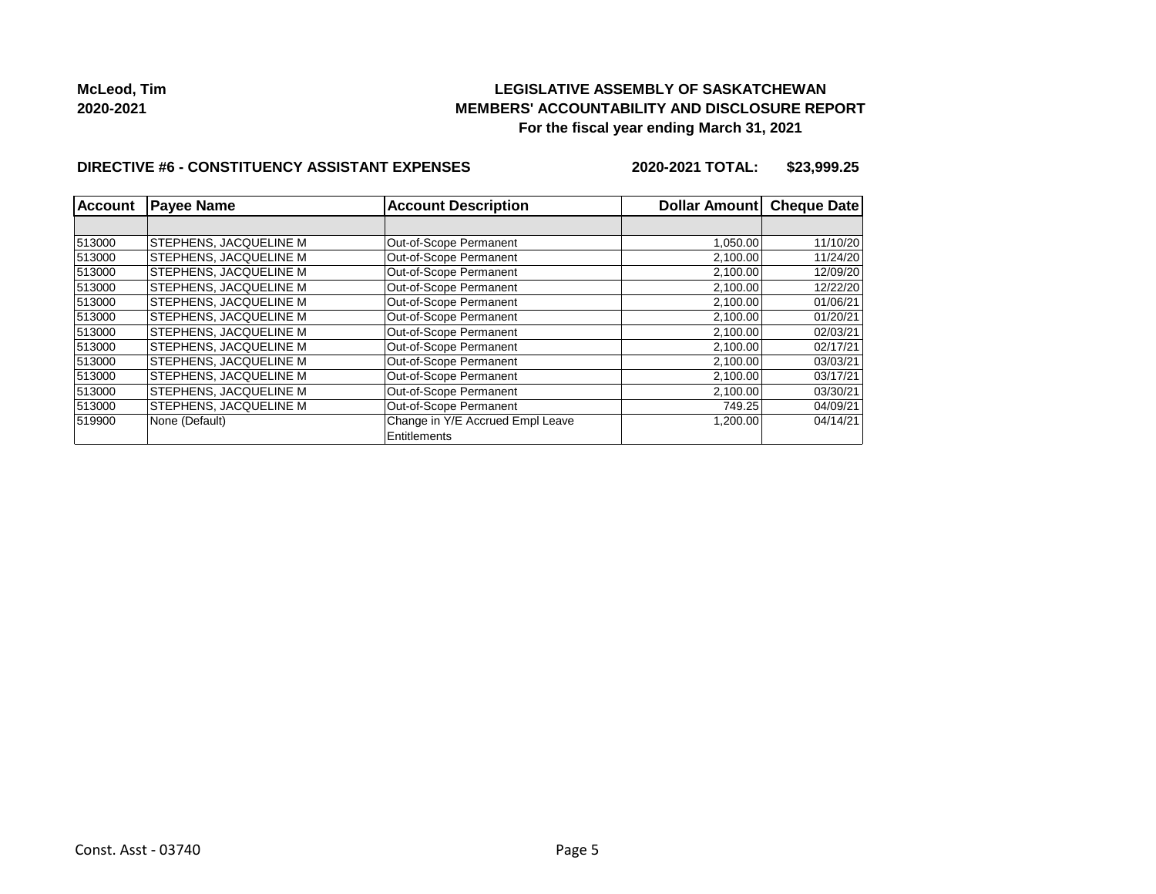### **LEGISLATIVE ASSEMBLY OF SASKATCHEWAN MEMBERS' ACCOUNTABILITY AND DISCLOSURE REPORT For the fiscal year ending March 31, 2021**

#### **DIRECTIVE #6 - CONSTITUENCY ASSISTANT EXPENSES**

**2020-2021 TOTAL: \$23,999.25**

| Account | <b>Payee Name</b>             | <b>Account Description</b>       | Dollar Amount | <b>Cheque Date</b> |
|---------|-------------------------------|----------------------------------|---------------|--------------------|
|         |                               |                                  |               |                    |
| 513000  | <b>STEPHENS, JACQUELINE M</b> | Out-of-Scope Permanent           | 1,050.00      | 11/10/20           |
| 513000  | STEPHENS, JACQUELINE M        | Out-of-Scope Permanent           | 2,100.00      | 11/24/20           |
| 513000  | STEPHENS, JACQUELINE M        | Out-of-Scope Permanent           | 2,100.00      | 12/09/20           |
| 513000  | STEPHENS, JACQUELINE M        | Out-of-Scope Permanent           | 2,100.00      | 12/22/20           |
| 513000  | STEPHENS, JACQUELINE M        | Out-of-Scope Permanent           | 2,100.00      | 01/06/21           |
| 513000  | <b>STEPHENS, JACQUELINE M</b> | Out-of-Scope Permanent           | 2,100.00      | 01/20/21           |
| 513000  | STEPHENS, JACQUELINE M        | Out-of-Scope Permanent           | 2,100.00      | 02/03/21           |
| 513000  | STEPHENS, JACQUELINE M        | Out-of-Scope Permanent           | 2,100.00      | 02/17/21           |
| 513000  | STEPHENS, JACQUELINE M        | Out-of-Scope Permanent           | 2,100.00      | 03/03/21           |
| 513000  | STEPHENS, JACQUELINE M        | Out-of-Scope Permanent           | 2,100.00      | 03/17/21           |
| 513000  | STEPHENS, JACQUELINE M        | Out-of-Scope Permanent           | 2,100.00      | 03/30/21           |
| 513000  | STEPHENS, JACQUELINE M        | Out-of-Scope Permanent           | 749.25        | 04/09/21           |
| 519900  | None (Default)                | Change in Y/E Accrued Empl Leave | 1,200.00      | 04/14/21           |
|         |                               | Entitlements                     |               |                    |